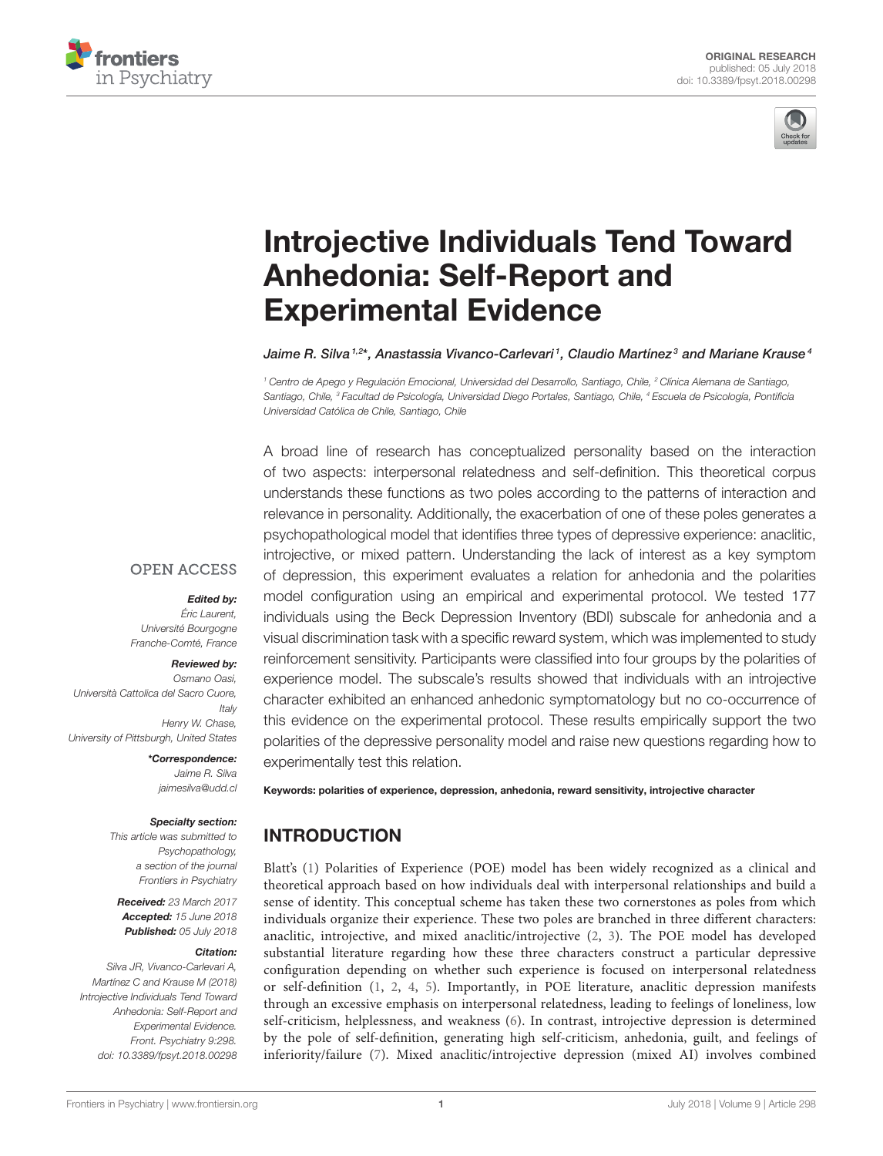



# [Introjective Individuals Tend Toward](https://www.frontiersin.org/articles/10.3389/fpsyt.2018.00298/full) Anhedonia: Self-Report and Experimental Evidence

[Jaime R. Silva](http://loop.frontiersin.org/people/205393/overview)<sup>1,2\*</sup>, [Anastassia Vivanco-Carlevari](http://loop.frontiersin.org/people/425009/overview)<sup>1</sup>, [Claudio Martínez](http://loop.frontiersin.org/people/224849/overview)<sup>3</sup> and [Mariane Krause](http://loop.frontiersin.org/people/188991/overview)<sup>4</sup>

<sup>1</sup> Centro de Apego y Regulación Emocional, Universidad del Desarrollo, Santiago, Chile, <sup>2</sup> Clínica Alemana de Santiago, Santiago, Chile, <sup>3</sup> Facultad de Psicología, Universidad Diego Portales, Santiago, Chile, <sup>4</sup> Escuela de Psicología, Pontificia Universidad Católica de Chile, Santiago, Chile

A broad line of research has conceptualized personality based on the interaction of two aspects: interpersonal relatedness and self-definition. This theoretical corpus understands these functions as two poles according to the patterns of interaction and relevance in personality. Additionally, the exacerbation of one of these poles generates a psychopathological model that identifies three types of depressive experience: anaclitic, introjective, or mixed pattern. Understanding the lack of interest as a key symptom of depression, this experiment evaluates a relation for anhedonia and the polarities model configuration using an empirical and experimental protocol. We tested 177 individuals using the Beck Depression Inventory (BDI) subscale for anhedonia and a visual discrimination task with a specific reward system, which was implemented to study reinforcement sensitivity. Participants were classified into four groups by the polarities of experience model. The subscale's results showed that individuals with an introjective character exhibited an enhanced anhedonic symptomatology but no co-occurrence of this evidence on the experimental protocol. These results empirically support the two polarities of the depressive personality model and raise new questions regarding how to experimentally test this relation.

**OPEN ACCESS** 

#### Edited by:

Éric Laurent, Université Bourgogne Franche-Comté, France

#### Reviewed by:

Osmano Oasi, Università Cattolica del Sacro Cuore, Italy Henry W. Chase, University of Pittsburgh, United States

> \*Correspondence: Jaime R. Silva [jaimesilva@udd.cl](mailto:jaimesilva@udd.cl)

#### Specialty section:

This article was submitted to Psychopathology, a section of the journal Frontiers in Psychiatry

Received: 23 March 2017 Accepted: 15 June 2018 Published: 05 July 2018

#### Citation:

Silva JR, Vivanco-Carlevari A, Martínez C and Krause M (2018) Introjective Individuals Tend Toward Anhedonia: Self-Report and Experimental Evidence. Front. Psychiatry 9:298. doi: [10.3389/fpsyt.2018.00298](https://doi.org/10.3389/fpsyt.2018.00298) Keywords: polarities of experience, depression, anhedonia, reward sensitivity, introjective character

# INTRODUCTION

Blatt's [\(1\)](#page-4-0) Polarities of Experience (POE) model has been widely recognized as a clinical and theoretical approach based on how individuals deal with interpersonal relationships and build a sense of identity. This conceptual scheme has taken these two cornerstones as poles from which individuals organize their experience. These two poles are branched in three different characters: anaclitic, introjective, and mixed anaclitic/introjective [\(2,](#page-4-1) [3\)](#page-4-2). The POE model has developed substantial literature regarding how these three characters construct a particular depressive configuration depending on whether such experience is focused on interpersonal relatedness or self-definition [\(1,](#page-4-0) [2,](#page-4-1) [4,](#page-4-3) [5\)](#page-4-4). Importantly, in POE literature, anaclitic depression manifests through an excessive emphasis on interpersonal relatedness, leading to feelings of loneliness, low self-criticism, helplessness, and weakness [\(6\)](#page-4-5). In contrast, introjective depression is determined by the pole of self-definition, generating high self-criticism, anhedonia, guilt, and feelings of inferiority/failure [\(7\)](#page-4-6). Mixed anaclitic/introjective depression (mixed AI) involves combined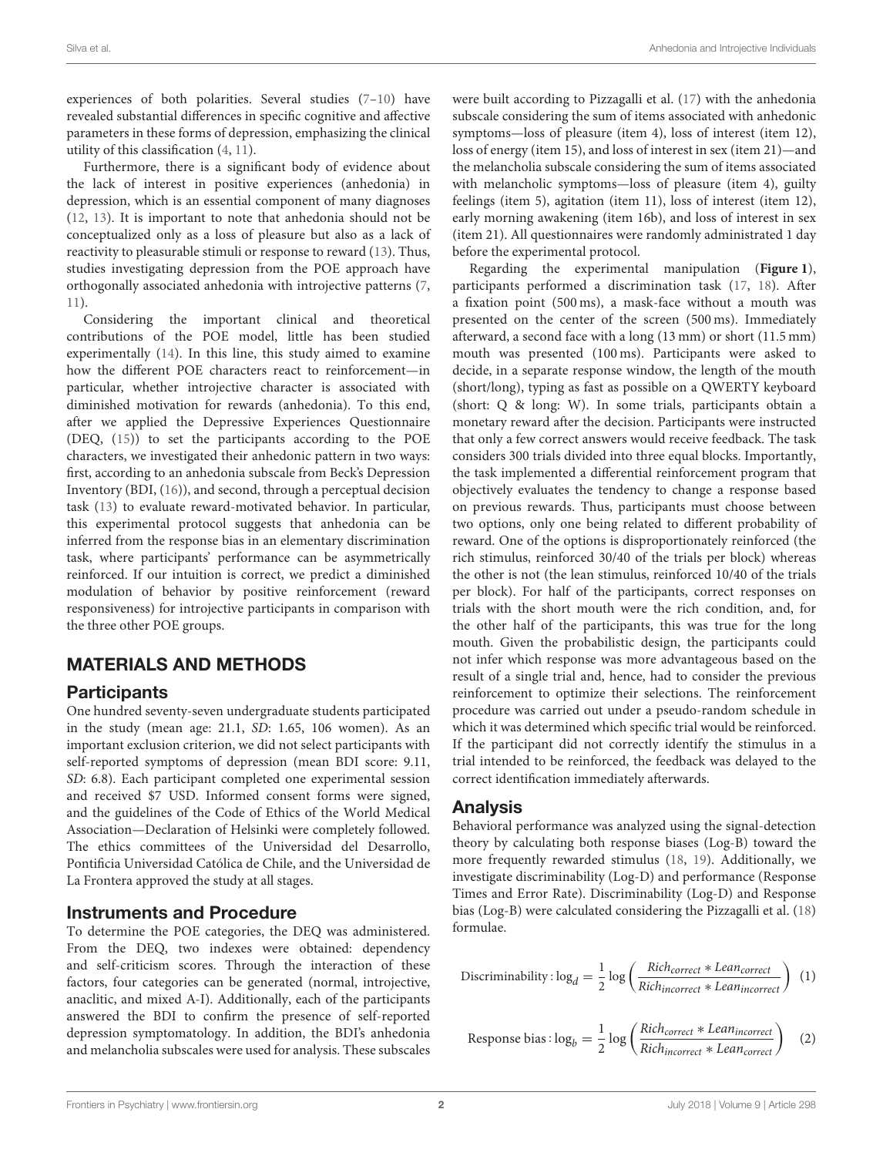experiences of both polarities. Several studies [\(7](#page-4-6)[–10\)](#page-4-7) have revealed substantial differences in specific cognitive and affective parameters in these forms of depression, emphasizing the clinical utility of this classification [\(4,](#page-4-3) [11\)](#page-4-8).

Furthermore, there is a significant body of evidence about the lack of interest in positive experiences (anhedonia) in depression, which is an essential component of many diagnoses [\(12,](#page-4-9) [13\)](#page-4-10). It is important to note that anhedonia should not be conceptualized only as a loss of pleasure but also as a lack of reactivity to pleasurable stimuli or response to reward [\(13\)](#page-4-10). Thus, studies investigating depression from the POE approach have orthogonally associated anhedonia with introjective patterns [\(7,](#page-4-6) [11\)](#page-4-8).

Considering the important clinical and theoretical contributions of the POE model, little has been studied experimentally [\(14\)](#page-4-11). In this line, this study aimed to examine how the different POE characters react to reinforcement—in particular, whether introjective character is associated with diminished motivation for rewards (anhedonia). To this end, after we applied the Depressive Experiences Questionnaire (DEQ, [\(15\)](#page-4-12)) to set the participants according to the POE characters, we investigated their anhedonic pattern in two ways: first, according to an anhedonia subscale from Beck's Depression Inventory (BDI, [\(16\)](#page-4-13)), and second, through a perceptual decision task [\(13\)](#page-4-10) to evaluate reward-motivated behavior. In particular, this experimental protocol suggests that anhedonia can be inferred from the response bias in an elementary discrimination task, where participants' performance can be asymmetrically reinforced. If our intuition is correct, we predict a diminished modulation of behavior by positive reinforcement (reward responsiveness) for introjective participants in comparison with the three other POE groups.

# MATERIALS AND METHODS

# **Participants**

One hundred seventy-seven undergraduate students participated in the study (mean age: 21.1, SD: 1.65, 106 women). As an important exclusion criterion, we did not select participants with self-reported symptoms of depression (mean BDI score: 9.11, SD: 6.8). Each participant completed one experimental session and received \$7 USD. Informed consent forms were signed, and the guidelines of the Code of Ethics of the World Medical Association—Declaration of Helsinki were completely followed. The ethics committees of the Universidad del Desarrollo, Pontificia Universidad Católica de Chile, and the Universidad de La Frontera approved the study at all stages.

## Instruments and Procedure

To determine the POE categories, the DEQ was administered. From the DEQ, two indexes were obtained: dependency and self-criticism scores. Through the interaction of these factors, four categories can be generated (normal, introjective, anaclitic, and mixed A-I). Additionally, each of the participants answered the BDI to confirm the presence of self-reported depression symptomatology. In addition, the BDI's anhedonia and melancholia subscales were used for analysis. These subscales were built according to Pizzagalli et al. [\(17\)](#page-4-14) with the anhedonia subscale considering the sum of items associated with anhedonic symptoms—loss of pleasure (item 4), loss of interest (item 12), loss of energy (item 15), and loss of interest in sex (item 21)—and the melancholia subscale considering the sum of items associated with melancholic symptoms—loss of pleasure (item 4), guilty feelings (item 5), agitation (item 11), loss of interest (item 12), early morning awakening (item 16b), and loss of interest in sex (item 21). All questionnaires were randomly administrated 1 day before the experimental protocol.

Regarding the experimental manipulation (**[Figure 1](#page-2-0)**), participants performed a discrimination task [\(17,](#page-4-14) [18\)](#page-4-15). After a fixation point (500 ms), a mask-face without a mouth was presented on the center of the screen (500 ms). Immediately afterward, a second face with a long (13 mm) or short (11.5 mm) mouth was presented (100 ms). Participants were asked to decide, in a separate response window, the length of the mouth (short/long), typing as fast as possible on a QWERTY keyboard (short: Q & long: W). In some trials, participants obtain a monetary reward after the decision. Participants were instructed that only a few correct answers would receive feedback. The task considers 300 trials divided into three equal blocks. Importantly, the task implemented a differential reinforcement program that objectively evaluates the tendency to change a response based on previous rewards. Thus, participants must choose between two options, only one being related to different probability of reward. One of the options is disproportionately reinforced (the rich stimulus, reinforced 30/40 of the trials per block) whereas the other is not (the lean stimulus, reinforced 10/40 of the trials per block). For half of the participants, correct responses on trials with the short mouth were the rich condition, and, for the other half of the participants, this was true for the long mouth. Given the probabilistic design, the participants could not infer which response was more advantageous based on the result of a single trial and, hence, had to consider the previous reinforcement to optimize their selections. The reinforcement procedure was carried out under a pseudo-random schedule in which it was determined which specific trial would be reinforced. If the participant did not correctly identify the stimulus in a trial intended to be reinforced, the feedback was delayed to the correct identification immediately afterwards.

## Analysis

Behavioral performance was analyzed using the signal-detection theory by calculating both response biases (Log-B) toward the more frequently rewarded stimulus [\(18,](#page-4-15) [19\)](#page-5-0). Additionally, we investigate discriminability (Log-D) and performance (Response Times and Error Rate). Discriminability (Log-D) and Response bias (Log-B) were calculated considering the Pizzagalli et al. [\(18\)](#page-4-15) formulae.

$$
\text{Discriminability:}\log_d = \frac{1}{2}\log\left(\frac{Rich_{correct} * Lean_{correct}}{Rich_{incorrect} * Lean_{incorrect}}\right) \tag{1}
$$

Response bias: 
$$
log_b = \frac{1}{2} log \left( \frac{Rich_{correct} * Lean_{incorrect}}{Rich_{incorrect} * Lean_{correct}} \right)
$$
 (2)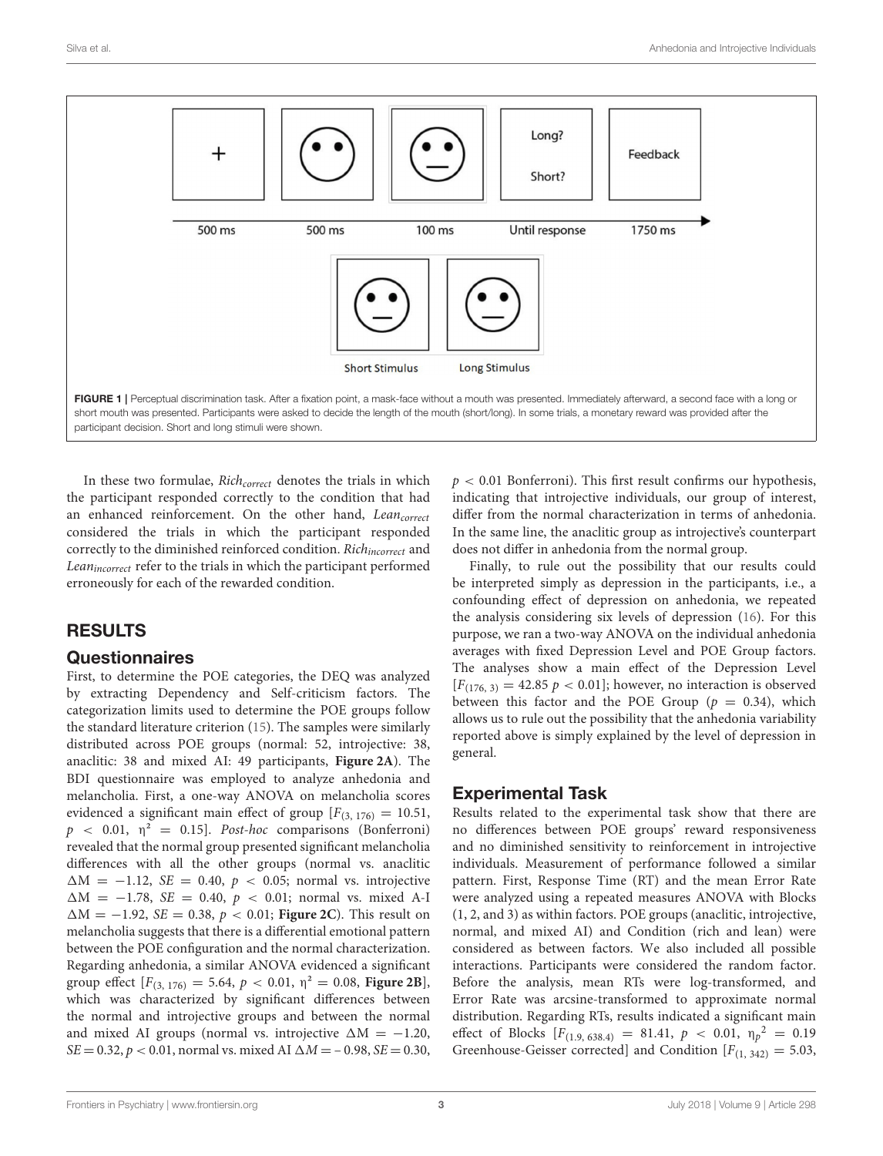

<span id="page-2-0"></span>In these two formulae,  $Rich_{correct}$  denotes the trials in which the participant responded correctly to the condition that had an enhanced reinforcement. On the other hand, Leancorrect considered the trials in which the participant responded correctly to the diminished reinforced condition. Richincorrect and Lean $_{incorrect}$  refer to the trials in which the participant performed erroneously for each of the rewarded condition.

# RESULTS

#### **Questionnaires**

First, to determine the POE categories, the DEQ was analyzed by extracting Dependency and Self-criticism factors. The categorization limits used to determine the POE groups follow the standard literature criterion [\(15\)](#page-4-12). The samples were similarly distributed across POE groups (normal: 52, introjective: 38, anaclitic: 38 and mixed AI: 49 participants, **[Figure 2A](#page-3-0)**). The BDI questionnaire was employed to analyze anhedonia and melancholia. First, a one-way ANOVA on melancholia scores evidenced a significant main effect of group  $[F_{(3, 176)} = 10.51,$  $p \sim 0.01$ ,  $\eta^2 = 0.15$ ]. Post-hoc comparisons (Bonferroni) revealed that the normal group presented significant melancholia differences with all the other groups (normal vs. anaclitic  $\Delta M = -1.12$ , SE = 0.40,  $p < 0.05$ ; normal vs. introjective  $\Delta M = -1.78$ ,  $SE = 0.40$ ,  $p < 0.01$ ; normal vs. mixed A-I  $\Delta M = -1.92$ ,  $SE = 0.38$ ,  $p < 0.01$ ; **[Figure 2C](#page-3-0)**). This result on melancholia suggests that there is a differential emotional pattern between the POE configuration and the normal characterization. Regarding anhedonia, a similar ANOVA evidenced a significant group effect  $[F_{(3, 176)} = 5.64, p < 0.01, \eta^2 = 0.08$ , **[Figure 2B](#page-3-0)**], which was characterized by significant differences between the normal and introjective groups and between the normal and mixed AI groups (normal vs. introjective  $\Delta M = -1.20$ ,  $SE = 0.32, p < 0.01$ , normal vs. mixed AI  $\Delta M = -0.98$ ,  $SE = 0.30$ ,

 $p < 0.01$  Bonferroni). This first result confirms our hypothesis, indicating that introjective individuals, our group of interest, differ from the normal characterization in terms of anhedonia. In the same line, the anaclitic group as introjective's counterpart does not differ in anhedonia from the normal group.

Finally, to rule out the possibility that our results could be interpreted simply as depression in the participants, i.e., a confounding effect of depression on anhedonia, we repeated the analysis considering six levels of depression [\(16\)](#page-4-13). For this purpose, we ran a two-way ANOVA on the individual anhedonia averages with fixed Depression Level and POE Group factors. The analyses show a main effect of the Depression Level  $[F(176, 3) = 42.85 \, p < 0.01]$ ; however, no interaction is observed between this factor and the POE Group ( $p = 0.34$ ), which allows us to rule out the possibility that the anhedonia variability reported above is simply explained by the level of depression in general.

# Experimental Task

Results related to the experimental task show that there are no differences between POE groups' reward responsiveness and no diminished sensitivity to reinforcement in introjective individuals. Measurement of performance followed a similar pattern. First, Response Time (RT) and the mean Error Rate were analyzed using a repeated measures ANOVA with Blocks (1, 2, and 3) as within factors. POE groups (anaclitic, introjective, normal, and mixed AI) and Condition (rich and lean) were considered as between factors. We also included all possible interactions. Participants were considered the random factor. Before the analysis, mean RTs were log-transformed, and Error Rate was arcsine-transformed to approximate normal distribution. Regarding RTs, results indicated a significant main effect of Blocks  $[F(1.9, 638.4) = 81.41, p < 0.01, \eta_p^2 = 0.19$ Greenhouse-Geisser corrected] and Condition  $[F_{(1, 342)} = 5.03$ ,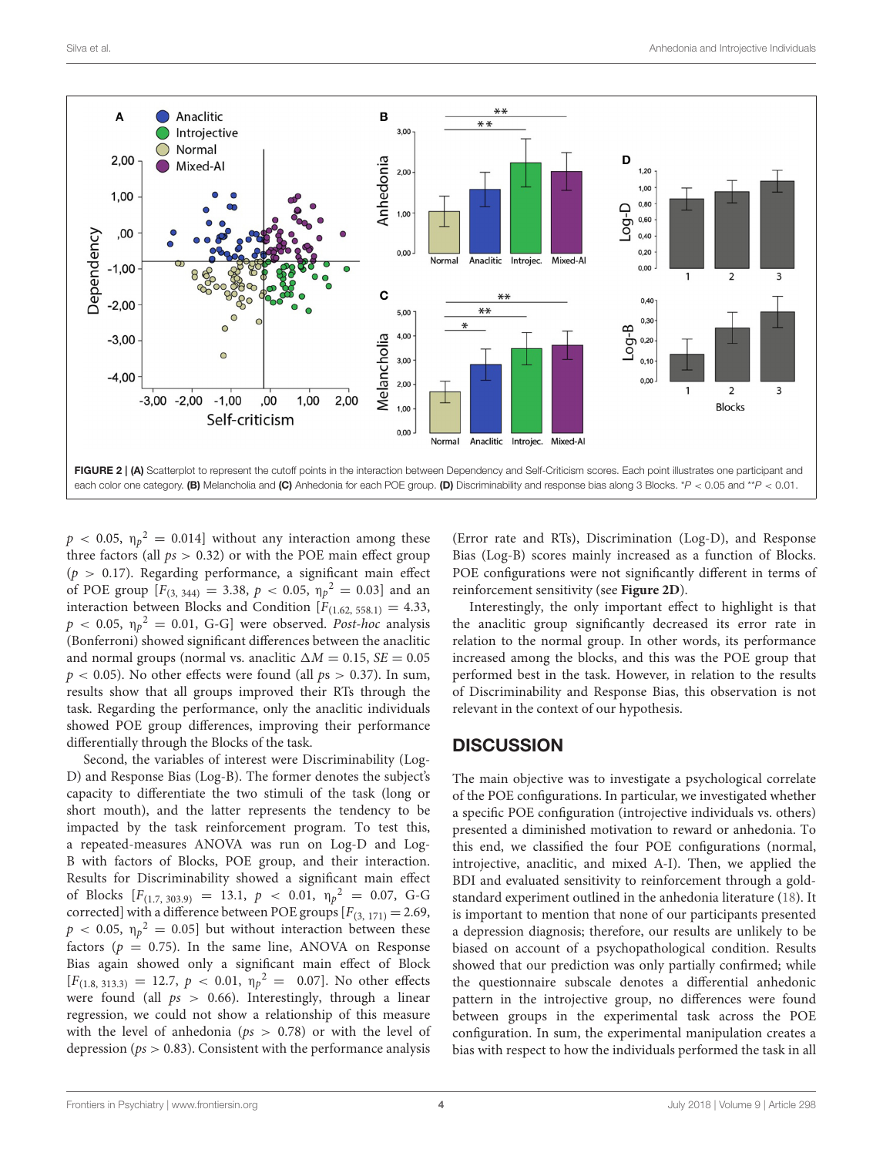

<span id="page-3-0"></span> $p < 0.05$ ,  $\eta_p^2 = 0.014$ ] without any interaction among these three factors (all  $ps > 0.32$ ) or with the POE main effect group  $(p > 0.17)$ . Regarding performance, a significant main effect of POE group  $[F_{(3, 344)} = 3.38, p < 0.05, \eta_p^2 = 0.03]$  and an interaction between Blocks and Condition  $[F(1.62, 558.1) = 4.33]$ ,  $p < 0.05$ ,  $\eta_p^2 = 0.01$ , G-G] were observed. Post-hoc analysis (Bonferroni) showed significant differences between the anaclitic and normal groups (normal vs. anaclitic  $\Delta M = 0.15$ ,  $SE = 0.05$  $p < 0.05$ ). No other effects were found (all  $ps > 0.37$ ). In sum, results show that all groups improved their RTs through the task. Regarding the performance, only the anaclitic individuals showed POE group differences, improving their performance differentially through the Blocks of the task.

Second, the variables of interest were Discriminability (Log-D) and Response Bias (Log-B). The former denotes the subject's capacity to differentiate the two stimuli of the task (long or short mouth), and the latter represents the tendency to be impacted by the task reinforcement program. To test this, a repeated-measures ANOVA was run on Log-D and Log-B with factors of Blocks, POE group, and their interaction. Results for Discriminability showed a significant main effect of Blocks  $[F(1.7, 303.9) = 13.1, p < 0.01, \eta_p^2 = 0.07, G-G$ corrected] with a difference between POE groups  $[F_{(3, 171)} = 2.69$ ,  $p < 0.05$ ,  $\eta_p^2 = 0.05$ ] but without interaction between these factors ( $p = 0.75$ ). In the same line, ANOVA on Response Bias again showed only a significant main effect of Block  $[F_{(1.8, 313.3)} = 12.7, p < 0.01, \eta_p^2 = 0.07]$ . No other effects were found (all  $ps > 0.66$ ). Interestingly, through a linear regression, we could not show a relationship of this measure with the level of anhedonia ( $ps > 0.78$ ) or with the level of depression ( $ps > 0.83$ ). Consistent with the performance analysis (Error rate and RTs), Discrimination (Log-D), and Response Bias (Log-B) scores mainly increased as a function of Blocks. POE configurations were not significantly different in terms of reinforcement sensitivity (see **[Figure 2D](#page-3-0)**).

Interestingly, the only important effect to highlight is that the anaclitic group significantly decreased its error rate in relation to the normal group. In other words, its performance increased among the blocks, and this was the POE group that performed best in the task. However, in relation to the results of Discriminability and Response Bias, this observation is not relevant in the context of our hypothesis.

## **DISCUSSION**

The main objective was to investigate a psychological correlate of the POE configurations. In particular, we investigated whether a specific POE configuration (introjective individuals vs. others) presented a diminished motivation to reward or anhedonia. To this end, we classified the four POE configurations (normal, introjective, anaclitic, and mixed A-I). Then, we applied the BDI and evaluated sensitivity to reinforcement through a goldstandard experiment outlined in the anhedonia literature [\(18\)](#page-4-15). It is important to mention that none of our participants presented a depression diagnosis; therefore, our results are unlikely to be biased on account of a psychopathological condition. Results showed that our prediction was only partially confirmed; while the questionnaire subscale denotes a differential anhedonic pattern in the introjective group, no differences were found between groups in the experimental task across the POE configuration. In sum, the experimental manipulation creates a bias with respect to how the individuals performed the task in all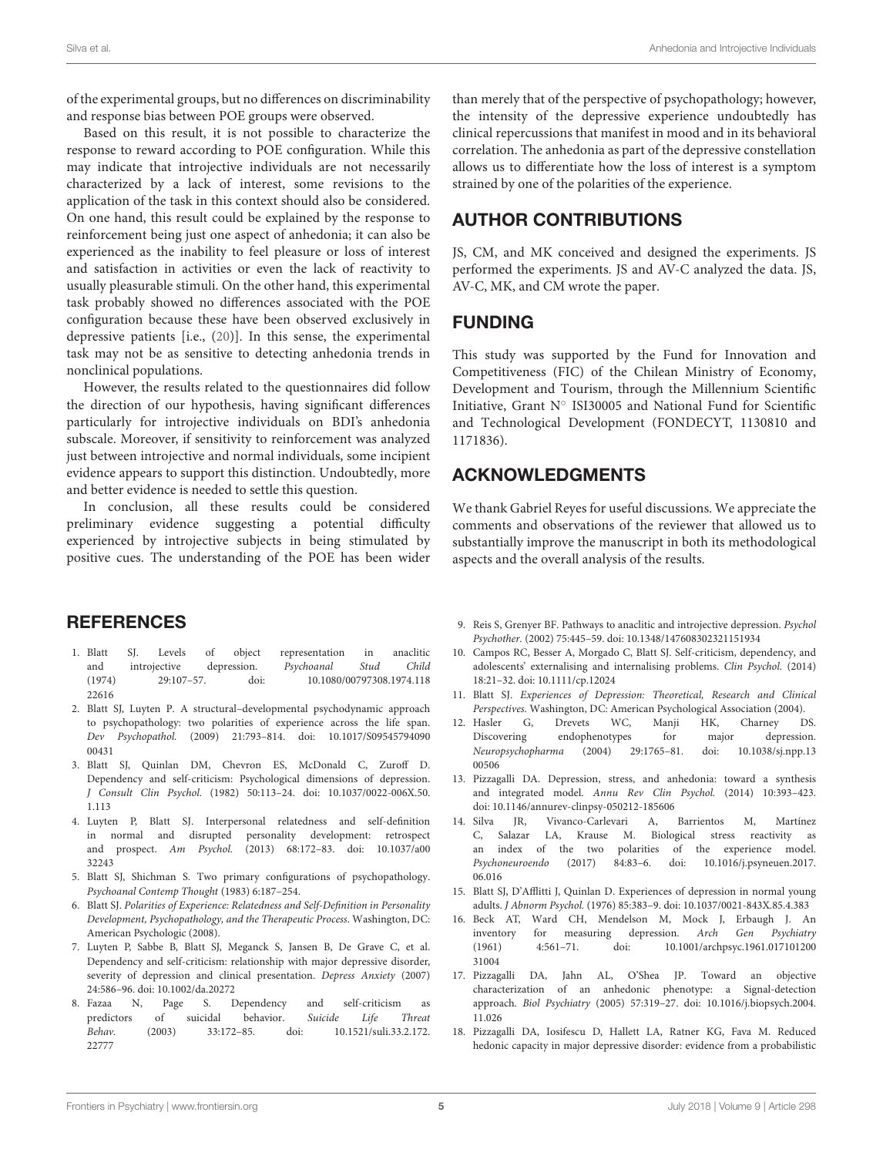of the experimental groups, but no differences on discriminability and response bias between POE groups were observed.

Based on this result, it is not possible to characterize the response to reward according to POE configuration. While this may indicate that introjective individuals are not necessarily characterized by a lack of interest, some revisions to the application of the task in this context should also be considered. On one hand, this result could be explained by the response to reinforcement being just one aspect of anhedonia; it can also be experienced as the inability to feel pleasure or loss of interest and satisfaction in activities or even the lack of reactivity to usually pleasurable stimuli. On the other hand, this experimental task probably showed no differences associated with the POE configuration because these have been observed exclusively in depressive patients [i.e., [\(20\)](#page-5-1)]. In this sense, the experimental task may not be as sensitive to detecting anhedonia trends in nonclinical populations.

However, the results related to the questionnaires did follow the direction of our hypothesis, having significant differences particularly for introjective individuals on BDI's anhedonia subscale. Moreover, if sensitivity to reinforcement was analyzed just between introjective and normal individuals, some incipient evidence appears to support this distinction. Undoubtedly, more and better evidence is needed to settle this question.

In conclusion, all these results could be considered preliminary evidence suggesting a potential difficulty experienced by introjective subjects in being stimulated by positive cues. The understanding of the POE has been wider

## **REFERENCES**

- <span id="page-4-0"></span>1. Blatt SJ. Levels of object representation in anaclitic and introjective depression. Psychoanal Stud Child [\(1974\) 29:107–57. doi: 10.1080/00797308.1974.118](https://doi.org/10.1080/00797308.1974.11822616) 22616
- <span id="page-4-1"></span>2. Blatt SJ, Luyten P. A structural–developmental psychodynamic approach to psychopathology: two polarities of experience across the life span. Dev Psychopathol. [\(2009\) 21:793–814. doi: 10.1017/S09545794090](https://doi.org/10.1017/S0954579409000431) 00431
- <span id="page-4-2"></span>3. Blatt SJ, Quinlan DM, Chevron ES, McDonald C, Zuroff D. Dependency and self-criticism: Psychological dimensions of depression. J Consult Clin Psychol. [\(1982\) 50:113–24. doi: 10.1037/0022-006X.50.](https://doi.org/10.1037/0022-006X.50.1.113) 1.113
- <span id="page-4-3"></span>4. Luyten P, Blatt SJ. Interpersonal relatedness and self-definition in normal and disrupted personality development: retrospect and prospect. Am Psychol. [\(2013\) 68:172–83. doi: 10.1037/a00](https://doi.org/10.1037/a0032243) 32243
- <span id="page-4-4"></span>5. Blatt SJ, Shichman S. Two primary configurations of psychopathology. Psychoanal Contemp Thought (1983) 6:187–254.
- <span id="page-4-5"></span>6. Blatt SJ. Polarities of Experience: Relatedness and Self-Definition in Personality Development, Psychopathology, and the Therapeutic Process. Washington, DC: American Psychologic (2008).
- <span id="page-4-6"></span>7. Luyten P, Sabbe B, Blatt SJ, Meganck S, Jansen B, De Grave C, et al. Dependency and self-criticism: relationship with major depressive disorder, severity of depression and clinical presentation. Depress Anxiety (2007)
- 24:586–96. doi: [10.1002/da.20272](https://doi.org/10.1002/da.20272) N, Page S. Dependency and self-criticism as predictors of suicidal behavior. Suicide Life Threat Behav. [\(2003\) 33:172–85. doi: 10.1521/suli.33.2.172.](https://doi.org/10.1521/suli.33.2.172.22777) 22777

than merely that of the perspective of psychopathology; however, the intensity of the depressive experience undoubtedly has clinical repercussions that manifest in mood and in its behavioral correlation. The anhedonia as part of the depressive constellation allows us to differentiate how the loss of interest is a symptom strained by one of the polarities of the experience.

# AUTHOR CONTRIBUTIONS

JS, CM, and MK conceived and designed the experiments. JS performed the experiments. JS and AV-C analyzed the data. JS, AV-C, MK, and CM wrote the paper.

## FUNDING

This study was supported by the Fund for Innovation and Competitiveness (FIC) of the Chilean Ministry of Economy, Development and Tourism, through the Millennium Scientific Initiative, Grant N◦ ISI30005 and National Fund for Scientific and Technological Development (FONDECYT, 1130810 and 1171836).

# ACKNOWLEDGMENTS

We thank Gabriel Reyes for useful discussions. We appreciate the comments and observations of the reviewer that allowed us to substantially improve the manuscript in both its methodological aspects and the overall analysis of the results.

- 9. Reis S, Grenyer BF. Pathways to anaclitic and introjective depression. Psychol Psychother. (2002) 75:445–59. doi: [10.1348/147608302321151934](https://doi.org/10.1348/147608302321151934)
- <span id="page-4-7"></span>10. Campos RC, Besser A, Morgado C, Blatt SJ. Self-criticism, dependency, and adolescents' externalising and internalising problems. Clin Psychol. (2014) 18:21–32. doi: [10.1111/cp.12024](https://doi.org/10.1111/cp.12024)
- <span id="page-4-8"></span>11. Blatt SJ. Experiences of Depression: Theoretical, Research and Clinical Perspectives. Washington, DC: American Psychological Association (2004).
- <span id="page-4-9"></span>12. Hasler G, Drevets WC, Manji HK, Charney DS. Discovering endophenotypes for major depression. Neuropsychopharma [\(2004\) 29:1765–81. doi: 10.1038/sj.npp.13](https://doi.org/10.1038/sj.npp.1300506) 00506
- <span id="page-4-10"></span>13. Pizzagalli DA. Depression, stress, and anhedonia: toward a synthesis and integrated model. Annu Rev Clin Psychol. (2014) 10:393–423. doi: [10.1146/annurev-clinpsy-050212-185606](https://doi.org/10.1146/annurev-clinpsy-050212-185606)
- <span id="page-4-11"></span>14. Silva JR, Vivanco-Carlevari A, Barrientos M, Martínez C, Salazar LA, Krause M. Biological stress reactivity as an index of the two polarities of the experience model. Psychoneuroendo [\(2017\) 84:83–6. doi: 10.1016/j.psyneuen.2017.](https://doi.org/10.1016/j.psyneuen.2017.06.016) 06.016
- <span id="page-4-12"></span>15. Blatt SJ, D'Afflitti J, Quinlan D. Experiences of depression in normal young adults. J Abnorm Psychol. (1976) 85:383–9. doi: [10.1037/0021-843X.85.4.383](https://doi.org/10.1037/0021-843X.85.4.383)
- <span id="page-4-13"></span>16. Beck AT, Ward CH, Mendelson M, Mock J, Erbaugh J. An inventory for measuring depression. Arch Gen Psychiatry [\(1961\) 4:561–71. doi: 10.1001/archpsyc.1961.017101200](https://doi.org/10.1001/archpsyc.1961.01710120031004) 31004
- <span id="page-4-14"></span>17. Pizzagalli DA, Jahn AL, O'Shea JP. Toward an objective characterization of an anhedonic phenotype: a Signal-detection approach. Biol Psychiatry [\(2005\) 57:319–27. doi: 10.1016/j.biopsych.2004.](https://doi.org/10.1016/j.biopsych.2004.11.026) 11.026
- <span id="page-4-15"></span>18. Pizzagalli DA, Iosifescu D, Hallett LA, Ratner KG, Fava M. Reduced hedonic capacity in major depressive disorder: evidence from a probabilistic